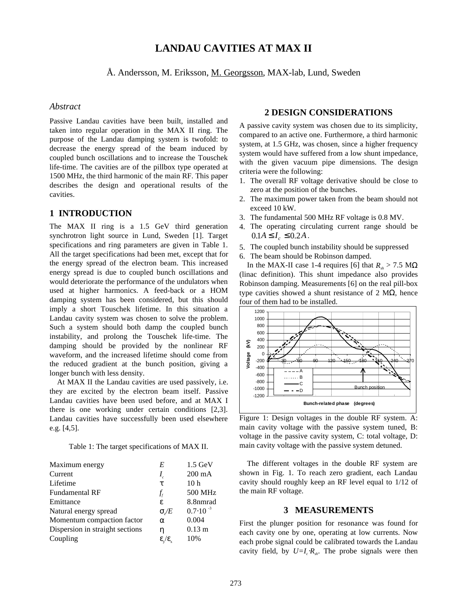# **LANDAU CAVITIES AT MAX II**

Å. Andersson, M. Eriksson, M. Georgsson, MAX-lab, Lund, Sweden

## *Abstract*

Passive Landau cavities have been built, installed and taken into regular operation in the MAX II ring. The purpose of the Landau damping system is twofold: to decrease the energy spread of the beam induced by coupled bunch oscillations and to increase the Touschek life-time. The cavities are of the pillbox type operated at 1500 MHz, the third harmonic of the main RF. This paper describes the design and operational results of the cavities.

## **1 INTRODUCTION**

The MAX II ring is a 1.5 GeV third generation synchrotron light source in Lund, Sweden [1]. Target specifications and ring parameters are given in Table 1. All the target specifications had been met, except that for the energy spread of the electron beam. This increased energy spread is due to coupled bunch oscillations and would deteriorate the performance of the undulators when used at higher harmonics. A feed-back or a HOM damping system has been considered, but this should imply a short Touschek lifetime. In this situation a Landau cavity system was chosen to solve the problem. Such a system should both damp the coupled bunch instability, and prolong the Touschek life-time. The damping should be provided by the nonlinear RF waveform, and the increased lifetime should come from the reduced gradient at the bunch position, giving a longer bunch with less density.

At MAX II the Landau cavities are used passively, i.e. they are excited by the electron beam itself. Passive Landau cavities have been used before, and at MAX I there is one working under certain conditions [2,3]. Landau cavities have successfully been used elsewhere e.g. [4,5].

Table 1: The target specifications of MAX II.

| Maximum energy                  | E                                   | $1.5 \text{ GeV}$   |
|---------------------------------|-------------------------------------|---------------------|
| Current                         | $I_{c}$                             | $200 \text{ mA}$    |
| Lifetime                        | τ                                   | 10 <sub>h</sub>     |
| <b>Fundamental RF</b>           | $f_{\!scriptscriptstyle f}$         | 500 MHz             |
| Emittance                       | £,                                  | 8.8nmrad            |
| Natural energy spread           | $\sigma/E$                          | $0.7 \cdot 10^{-3}$ |
| Momentum compaction factor      | $\alpha$                            | 0.004               |
| Dispersion in straight sections | η                                   | $0.13 \text{ m}$    |
| Coupling                        | $\epsilon_{\rm v}/\epsilon_{\rm v}$ | 10%                 |
|                                 |                                     |                     |

## **2 DESIGN CONSIDERATIONS**

A passive cavity system was chosen due to its simplicity, compared to an active one. Furthermore, a third harmonic system, at 1.5 GHz, was chosen, since a higher frequency system would have suffered from a low shunt impedance, with the given vacuum pipe dimensions. The design criteria were the following:

- 1. The overall RF voltage derivative should be close to zero at the position of the bunches.
- 2. The maximum power taken from the beam should not exceed 10 kW.
- 3. The fundamental 500 MHz RF voltage is 0.8 MV.
- 4. The operating circulating current range should be  $0.1 A \le I_c \le 0.2 A$ .
- 5. The coupled bunch instability should be suppressed
- 6. The beam should be Robinson damped.

In the MAX-II case 1-4 requires [6] that  $R_{\mu} > 7.5$  M $\Omega$ (linac definition). This shunt impedance also provides Robinson damping. Measurements [6] on the real pill-box type cavities showed a shunt resistance of 2 MΩ, hence four of them had to be installed.



Figure 1: Design voltages in the double RF system. A: main cavity voltage with the passive system tuned, B: voltage in the passive cavity system, C: total voltage, D: main cavity voltage with the passive system detuned.

 The different voltages in the double RF system are shown in Fig. 1. To reach zero gradient, each Landau cavity should roughly keep an RF level equal to 1/12 of the main RF voltage.

#### **3 MEASUREMENTS**

First the plunger position for resonance was found for each cavity one by one, operating at low currents. Now each probe signal could be calibrated towards the Landau cavity field, by  $U = I_c \cdot R_{sh}$ . The probe signals were then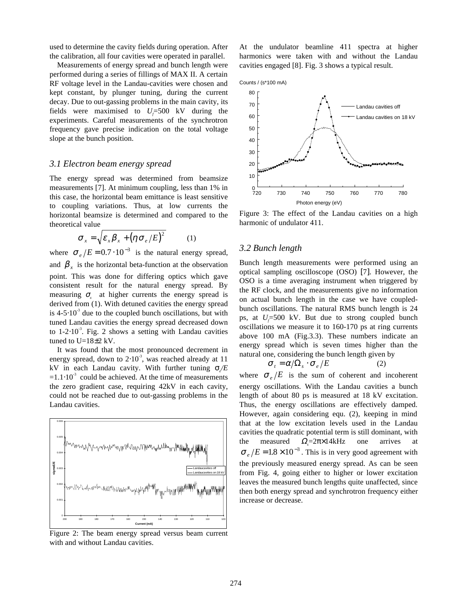used to determine the cavity fields during operation. After the calibration, all four cavities were operated in parallel.

Measurements of energy spread and bunch length were performed during a series of fillings of MAX II. A certain RF voltage level in the Landau-cavities were chosen and kept constant, by plunger tuning, during the current decay. Due to out-gassing problems in the main cavity, its fields were maximised to  $U_f$ =500 kV during the experiments. Careful measurements of the synchrotron frequency gave precise indication on the total voltage slope at the bunch position.

#### *3.1 Electron beam energy spread*

The energy spread was determined from beamsize measurements [7]. At minimum coupling, less than 1% in this case, the horizontal beam emittance is least sensitive to coupling variations. Thus, at low currents the horizontal beamsize is determined and compared to the theoretical value

$$
\sigma_x = \sqrt{\varepsilon_x \beta_x + (\eta \sigma_e / E)^2}
$$
 (1)

where  $\sigma_e/E = 0.7 \cdot 10^{-3}$  is the natural energy spread, and  $\beta$ <sub>x</sub> is the horizontal beta-function at the observation point. This was done for differing optics which gave consistent result for the natural energy spread. By measuring  $\sigma_{\rm x}$  at higher currents the energy spread is derived from (1). With detuned cavities the energy spread is  $4-5.10^{-3}$  due to the coupled bunch oscillations, but with tuned Landau cavities the energy spread decreased down to  $1-2.10^{-3}$ . Fig. 2 shows a setting with Landau cavities tuned to  $U=18\pm2$  kV.

It was found that the most pronounced decrement in energy spread, down to  $2·10<sup>-3</sup>$ , was reached already at 11 kV in each Landau cavity. With further tuning  $σ$ <sub>/</sub>*E*  $=1.1 \cdot 10^{-3}$  could be achieved. At the time of measurements the zero gradient case, requiring 42kV in each cavity, could not be reached due to out-gassing problems in the Landau cavities.



Figure 2: The beam energy spread versus beam current with and without Landau cavities.

At the undulator beamline 411 spectra at higher harmonics were taken with and without the Landau cavities engaged [8]. Fig. 3 shows a typical result.





Figure 3: The effect of the Landau cavities on a high harmonic of undulator 411.

## *3.2 Bunch length*

Bunch length measurements were performed using an optical sampling oscilloscope (OSO) [7]. However, the OSO is a time averaging instrument when triggered by the RF clock, and the measurements give no information on actual bunch length in the case we have coupledbunch oscillations. The natural RMS bunch length is 24 ps, at  $U_f$ =500 kV. But due to strong coupled bunch oscillations we measure it to 160-170 ps at ring currents above 100 mA (Fig.3.3). These numbers indicate an energy spread which is seven times higher than the natural one, considering the bunch length given by

$$
\sigma_t = \alpha / \Omega_s \cdot \sigma_e / E \tag{2}
$$

where  $\sigma_e/E$  is the sum of coherent and incoherent energy oscillations. With the Landau cavities a bunch length of about 80 ps is measured at 18 kV excitation. Thus, the energy oscillations are effectively damped. However, again considering equ. (2), keeping in mind that at the low excitation levels used in the Landau cavities the quadratic potential term is still dominant, with the measured  $\Omega = 2\pi \times 14$ kHz one arrives  $\sigma_e/E = 1.8 \times 10^{-3}$ . This is in very good agreement with the previously measured energy spread. As can be seen from Fig. 4, going either to higher or lower excitation leaves the measured bunch lengths quite unaffected, since then both energy spread and synchrotron frequency either increase or decrease.